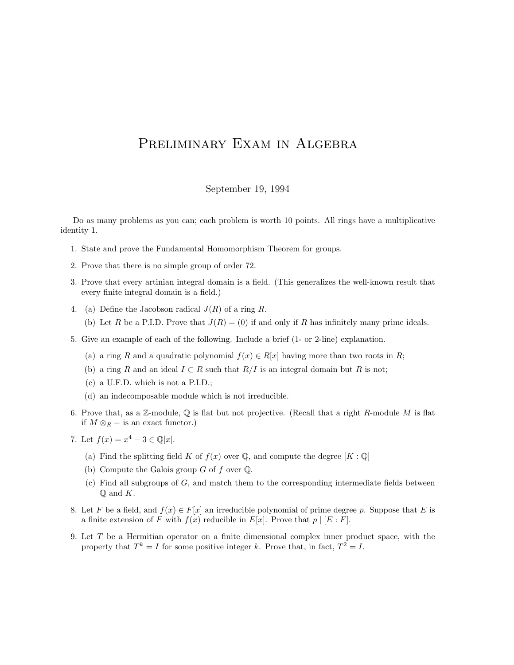## PRELIMINARY EXAM IN ALGEBRA

## September 19, 1994

Do as many problems as you can; each problem is worth 10 points. All rings have a multiplicative identity 1.

- 1. State and prove the Fundamental Homomorphism Theorem for groups.
- 2. Prove that there is no simple group of order 72.
- 3. Prove that every artinian integral domain is a field. (This generalizes the well-known result that every finite integral domain is a field.)
- 4. (a) Define the Jacobson radical  $J(R)$  of a ring R.
	- (b) Let R be a P.I.D. Prove that  $J(R) = (0)$  if and only if R has infinitely many prime ideals.
- 5. Give an example of each of the following. Include a brief (1- or 2-line) explanation.
	- (a) a ring R and a quadratic polynomial  $f(x) \in R[x]$  having more than two roots in R;
	- (b) a ring R and an ideal  $I \subset R$  such that  $R/I$  is an integral domain but R is not;
	- (c) a U.F.D. which is not a P.I.D.;
	- (d) an indecomposable module which is not irreducible.
- 6. Prove that, as a Z-module,  $\mathbb Q$  is flat but not projective. (Recall that a right R-module M is flat if  $M \otimes_R -$  is an exact functor.)
- 7. Let  $f(x) = x^4 3 \in \mathbb{Q}[x]$ .
	- (a) Find the splitting field K of  $f(x)$  over Q, and compute the degree  $[K:\mathbb{Q}]$
	- (b) Compute the Galois group  $G$  of  $f$  over  $\mathbb{Q}$ .
	- $(c)$  Find all subgroups of  $G$ , and match them to the corresponding intermediate fields between  $\mathbb Q$  and  $K$ .
- 8. Let F be a field, and  $f(x) \in F[x]$  an irreducible polynomial of prime degree p. Suppose that E is a finite extension of F with  $f(x)$  reducible in  $E[x]$ . Prove that  $p \mid [E : F]$ .
- 9. Let T be a Hermitian operator on a finite dimensional complex inner product space, with the property that  $T^k = I$  for some positive integer k. Prove that, in fact,  $T^2 = I$ .